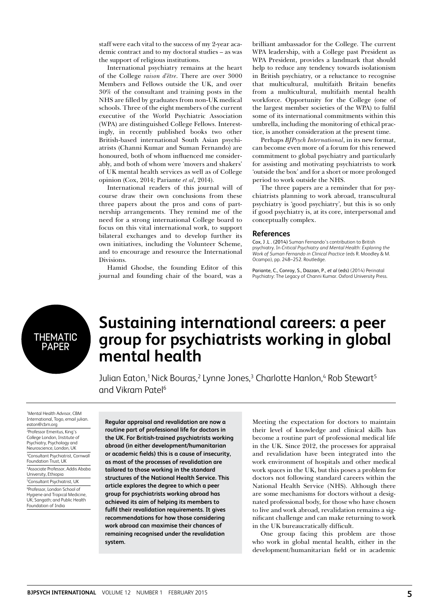staff were each vital to the success of my 2-year academic contract and to my doctoral studies – as was the support of religious institutions.

International psychiatry remains at the heart of the College *raison d'être*. There are over 3000 Members and Fellows outside the UK, and over 30% of the consultant and training posts in the NHS are filled by graduates from non-UK medical schools. Three of the eight members of the current executive of the World Psychiatric Association (WPA) are distinguished College Fellows. Interestingly, in recently published books two other British-based international South Asian psychiatrists (Channi Kumar and Suman Fernando) are honoured, both of whom influenced me considerably, and both of whom were 'movers and shakers' of UK mental health services as well as of College opinion (Cox, 2014; Pariante *et al*, 2014).

International readers of this journal will of course draw their own conclusions from these three papers about the pros and cons of partnership arrangements. They remind me of the need for a strong international College board to focus on this vital international work, to support bilateral exchanges and to develop further its own initiatives, including the Volunteer Scheme, and to encourage and resource the International Divisions.

Hamid Ghodse, the founding Editor of this journal and founding chair of the board, was a brilliant ambassador for the College. The current WPA leadership, with a College past President as WPA President, provides a landmark that should help to reduce any tendency towards isolationism in British psychiatry, or a reluctance to recognise that multicultural, multifaith Britain benefits from a multicultural, multifaith mental health workforce. Opportunity for the College (one of the largest member societies of the WPA) to fulfil some of its international commitments within this umbrella, including the monitoring of ethical practice, is another consideration at the present time.

Perhaps *BJPsych International*, in its new format, can become even more of a forum for this renewed commitment to global psychiatry and particularly for assisting and motivating psychiatrists to work 'outside the box' and for a short or more prolonged period to work outside the NHS.

The three papers are a reminder that for psychiatrists planning to work abroad, transcultural psychiatry is 'good psychiatry', but this is so only if good psychiatry is, at its core, interpersonal and conceptually complex.

#### **References**

Cox, J .L . (2014) Suman Fernando's contribution to British psychiatry. In *Critical Psychiatry and Mental Health: Exploring the Work of Suman Fernando in Clinical Practice* (eds R. Moodley & M. Ocampo), pp. 248–252. Routledge.

Pariante, C., Conroy, S., Dazzan, P., *et al* (eds) (2014) Perinatal Psychiatry: The Legacy of Channi Kumar. Oxford University Press.

THEMATIC PAPER

# **Sustaining international careers: a peer group for psychiatrists working in global mental health**

Julian Eaton,<sup>1</sup> Nick Bouras,<sup>2</sup> Lynne Jones,<sup>3</sup> Charlotte Hanlon,<sup>4</sup> Rob Stewart<sup>5</sup> and Vikram Patel6

1 Mental Health Advisor, CBM International, Togo, email julian. eaton@cbm.org 2 Professor Emeritus, King's College London, Institute of Psychiatry, Psychology and Neuroscience, London, UK 3 Consultant Psychiatrist, Cornwall Foundation Trust, UK 4 Associate Professor, Addis Ababa University, Ethiopia 5 Consultant Psychiatrist, UK 6 Professor, London School of Hygiene and Tropical Medicine, UK; Sangath; and Public Health Foundation of India

**Regular appraisal and revalidation are now a routine part of professional life for doctors in the UK. For British-trained psychiatrists working abroad (in either development/humanitarian or academic fields) this is a cause of insecurity, as most of the processes of revalidation are tailored to those working in the standard structures of the National Health Service. This article explores the degree to which a peer group for psychiatrists working abroad has achieved its aim of helping its members to fulfil their revalidation requirements. It gives recommendations for how those considering work abroad can maximise their chances of remaining recognised under the revalidation system.**

Meeting the expectation for doctors to maintain their level of knowledge and clinical skills has become a routine part of professional medical life in the UK. Since 2012, the processes for appraisal and revalidation have been integrated into the work environment of hospitals and other medical work spaces in the UK, but this poses a problem for doctors not following standard careers within the National Health Service (NHS). Although there are some mechanisms for doctors without a designated professional body, for those who have chosen to live and work abroad, revalidation remains a significant challenge and can make returning to work in the UK bureaucratically difficult.

One group facing this problem are those who work in global mental health, either in the development/humanitarian field or in academic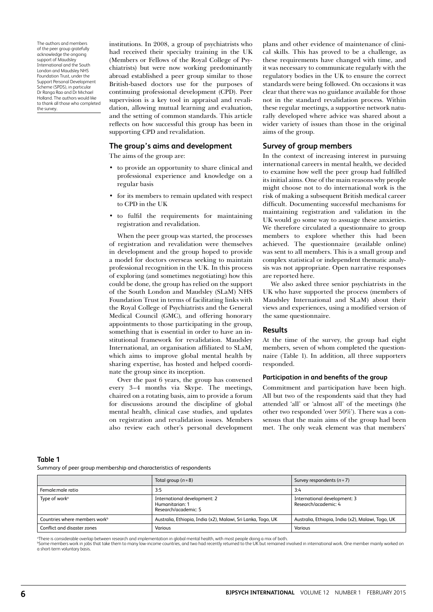The authors and members of the peer group gratefully acknowledge the ongoing support of Maudsley International and the South London and Maudsley NHS Foundation Trust, under the Support Personal Development Scheme (SPDS), in particular Dr Ranga Rao and Dr Michael Holland. The authors would like to thank all those who completed the survey.

institutions. In 2008, a group of psychiatrists who had received their specialty training in the UK (Members or Fellows of the Royal College of Psychiatrists) but were now working predominantly abroad established a peer group similar to those British-based doctors use for the purposes of continuing professional development (CPD). Peer supervision is a key tool in appraisal and revalidation, allowing mutual learning and evaluation, and the setting of common standards. This article reflects on how successful this group has been in supporting CPD and revalidation.

## **The group's aims and development**

The aims of the group are:

- to provide an opportunity to share clinical and professional experience and knowledge on a regular basis
- for its members to remain updated with respect to CPD in the UK
- to fulfil the requirements for maintaining registration and revalidation.

When the peer group was started, the processes of registration and revalidation were themselves in development and the group hoped to provide a model for doctors overseas seeking to maintain professional recognition in the UK. In this process of exploring (and sometimes negotiating) how this could be done, the group has relied on the support of the South London and Maudsley (SLaM) NHS Foundation Trust in terms of facilitating links with the Royal College of Psychiatrists and the General Medical Council (GMC), and offering honorary appointments to those participating in the group, something that is essential in order to have an institutional framework for revalidation. Maudsley International, an organisation affiliated to SLaM, which aims to improve global mental health by sharing expertise, has hosted and helped coordinate the group since its inception.

Over the past 6 years, the group has convened every 3–4 months via Skype. The meetings, chaired on a rotating basis, aim to provide a forum for discussions around the discipline of global mental health, clinical case studies, and updates on registration and revalidation issues. Members also review each other's personal development

plans and other evidence of maintenance of clinical skills. This has proved to be a challenge, as these requirements have changed with time, and it was necessary to communicate regularly with the regulatory bodies in the UK to ensure the correct standards were being followed. On occasions it was clear that there was no guidance available for those not in the standard revalidation process. Within these regular meetings, a supportive network naturally developed where advice was shared about a wider variety of issues than those in the original aims of the group.

# **Survey of group members**

In the context of increasing interest in pursuing international careers in mental health, we decided to examine how well the peer group had fulfilled its initial aims. One of the main reasons why people might choose not to do international work is the risk of making a subsequent British medical career difficult. Documenting successful mechanisms for maintaining registration and validation in the UK would go some way to assuage these anxieties. We therefore circulated a questionnaire to group members to explore whether this had been achieved. The questionnaire (available online) was sent to all members. This is a small group and complex statistical or independent thematic analysis was not appropriate. Open narrative responses are reported here.

We also asked three senior psychiatrists in the UK who have supported the process (members of Maudsley International and SLaM) about their views and experiences, using a modified version of the same questionnaire.

#### **Results**

At the time of the survey, the group had eight members, seven of whom completed the questionnaire (Table 1). In addition, all three supporters responded.

### **Participation in and benefits of the group**

Commitment and participation have been high. All but two of the respondents said that they had attended 'all' or 'almost all' of the meetings (the other two responded 'over 50%'). There was a consensus that the main aims of the group had been met. The only weak element was that members'

| Table 1                                                             |  |
|---------------------------------------------------------------------|--|
| Summary of peer group membership and characteristics of respondents |  |

|                                           | Total group $(n = 8)$                                                   | Survey respondents $(n = 7)$                         |
|-------------------------------------------|-------------------------------------------------------------------------|------------------------------------------------------|
| Female:male ratio                         | 3:5                                                                     | 3:4                                                  |
| Type of work $a$                          | International development: 2<br>Humanitarian: 1<br>Research/academic: 5 | International development: 3<br>Research/academic: 4 |
| Countries where members work <sup>b</sup> | Australia, Ethiopia, India (x2), Malawi, Sri Lanka, Togo, UK            | Australia, Ethiopia, India (x2), Malawi, Togo, UK    |
| Conflict and disaster zones               | Various                                                                 | Various                                              |

a There is considerable overlap between research and implementation in global mental health, with most people doing a mix of both.

bSome members work in jobs that take them to many low-income countries, and two had recently returned to the UK but remained involved in international work. One member mainly worked on a short-term voluntary basis.